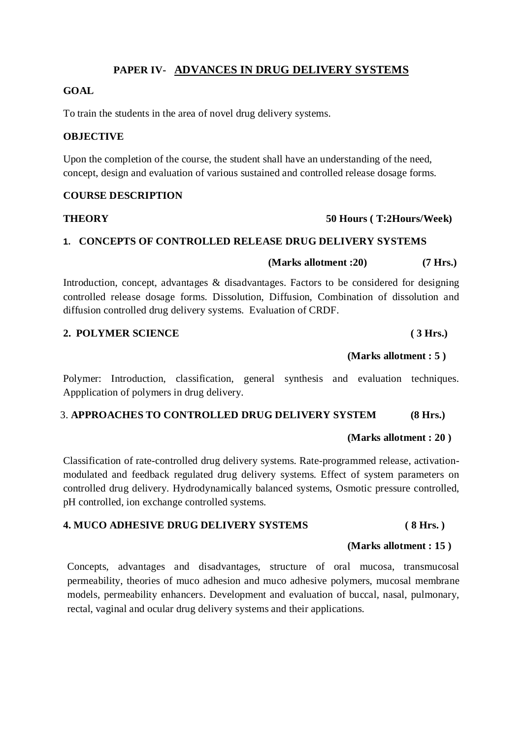## **PAPER IV- ADVANCES IN DRUG DELIVERY SYSTEMS**

### **GOAL**

To train the students in the area of novel drug delivery systems.

## **OBJECTIVE**

Upon the completion of the course, the student shall have an understanding of the need, concept, design and evaluation of various sustained and controlled release dosage forms.

### **COURSE DESCRIPTION**

## **THEORY 50 Hours ( T:2Hours/Week)**

## **1. CONCEPTS OF CONTROLLED RELEASE DRUG DELIVERY SYSTEMS**

 **(Marks allotment :20) (7 Hrs.)**

Introduction, concept, advantages & disadvantages. Factors to be considered for designing controlled release dosage forms. Dissolution, Diffusion, Combination of dissolution and diffusion controlled drug delivery systems. Evaluation of CRDF.

## **2. POLYMER SCIENCE ( 3 Hrs.)**

## **(Marks allotment : 5 )**

Polymer: Introduction, classification, general synthesis and evaluation techniques. Appplication of polymers in drug delivery.

## 3. **APPROACHES TO CONTROLLED DRUG DELIVERY SYSTEM (8 Hrs.)**

## **(Marks allotment : 20 )**

Classification of rate-controlled drug delivery systems. Rate-programmed release, activationmodulated and feedback regulated drug delivery systems. Effect of system parameters on controlled drug delivery. Hydrodynamically balanced systems, Osmotic pressure controlled, pH controlled, ion exchange controlled systems.

## **4. MUCO ADHESIVE DRUG DELIVERY SYSTEMS ( 8 Hrs. )**

## **(Marks allotment : 15 )**

Concepts, advantages and disadvantages, structure of oral mucosa, transmucosal permeability, theories of muco adhesion and muco adhesive polymers, mucosal membrane models, permeability enhancers. Development and evaluation of buccal, nasal, pulmonary, rectal, vaginal and ocular drug delivery systems and their applications.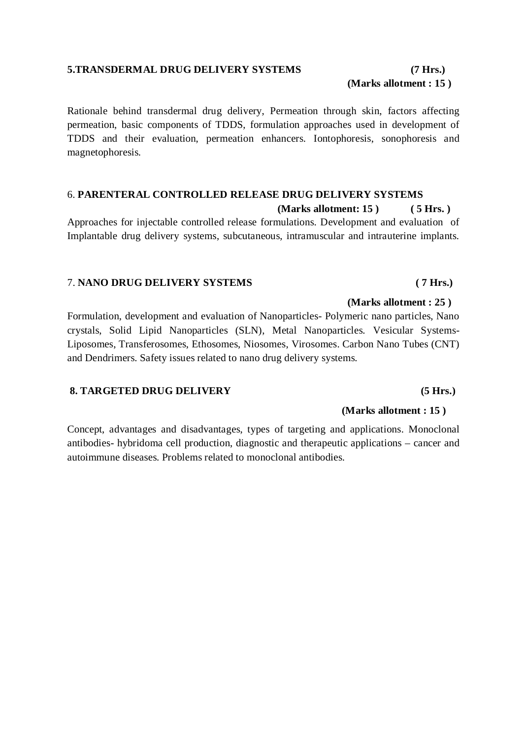## **5.TRANSDERMAL DRUG DELIVERY SYSTEMS (7 Hrs.)**

**(Marks allotment : 15 )** 

Rationale behind transdermal drug delivery, Permeation through skin, factors affecting permeation, basic components of TDDS, formulation approaches used in development of TDDS and their evaluation, permeation enhancers. Iontophoresis, sonophoresis and magnetophoresis.

## 6. **PARENTERAL CONTROLLED RELEASE DRUG DELIVERY SYSTEMS (Marks allotment: 15 ) ( 5 Hrs. )**

Approaches for injectable controlled release formulations. Development and evaluation of Implantable drug delivery systems, subcutaneous, intramuscular and intrauterine implants.

### 7. **NANO DRUG DELIVERY SYSTEMS ( 7 Hrs.)**

Formulation, development and evaluation of Nanoparticles- Polymeric nano particles, Nano crystals, Solid Lipid Nanoparticles (SLN), Metal Nanoparticles. Vesicular Systems-Liposomes, Transferosomes, Ethosomes, Niosomes, Virosomes. Carbon Nano Tubes (CNT) and Dendrimers. Safety issues related to nano drug delivery systems.

## **8. TARGETED DRUG DELIVERY (5 Hrs.)**

### **(Marks allotment : 15 )**

**(Marks allotment : 25 )** 

Concept, advantages and disadvantages, types of targeting and applications. Monoclonal antibodies- hybridoma cell production, diagnostic and therapeutic applications – cancer and autoimmune diseases. Problems related to monoclonal antibodies.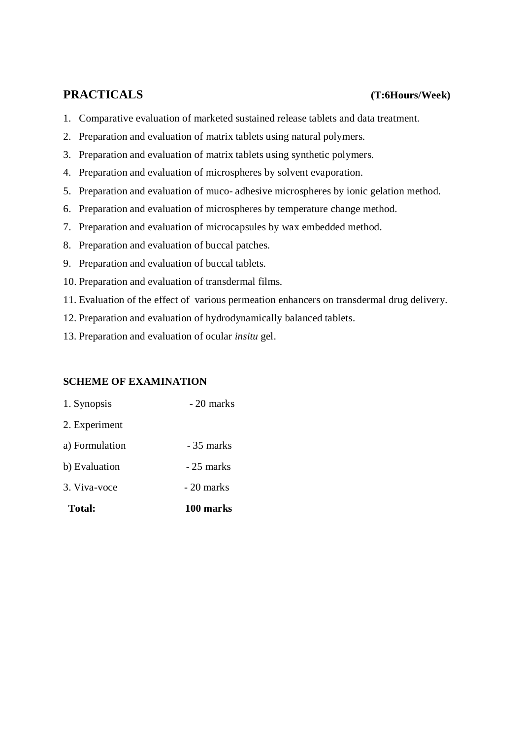# **PRACTICALS (T:6Hours/Week)**

- 1. Comparative evaluation of marketed sustained release tablets and data treatment.
- 2. Preparation and evaluation of matrix tablets using natural polymers.
- 3. Preparation and evaluation of matrix tablets using synthetic polymers.
- 4. Preparation and evaluation of microspheres by solvent evaporation.
- 5. Preparation and evaluation of muco- adhesive microspheres by ionic gelation method.
- 6. Preparation and evaluation of microspheres by temperature change method.
- 7. Preparation and evaluation of microcapsules by wax embedded method.
- 8. Preparation and evaluation of buccal patches.
- 9. Preparation and evaluation of buccal tablets.
- 10. Preparation and evaluation of transdermal films.
- 11. Evaluation of the effect of various permeation enhancers on transdermal drug delivery.
- 12. Preparation and evaluation of hydrodynamically balanced tablets.
- 13. Preparation and evaluation of ocular *insitu* gel.

## **SCHEME OF EXAMINATION**

- 1. Synopsis 20 marks 2. Experiment a) Formulation - 35 marks
- $b)$  Evaluation  $-25$  marks
- $3. \text{Viva-voce}$   $-20 \text{ marks}$
- **Total: 100 marks**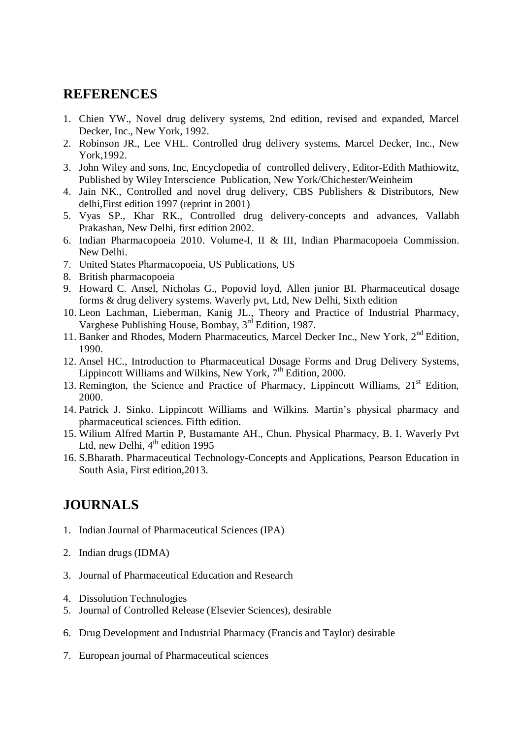# **REFERENCES**

- 1. Chien YW., Novel drug delivery systems, 2nd edition, revised and expanded, Marcel Decker, Inc., New York, 1992.
- 2. Robinson JR., Lee VHL. Controlled drug delivery systems, Marcel Decker, Inc., New York,1992.
- 3. John Wiley and sons, Inc, Encyclopedia of controlled delivery, Editor-Edith Mathiowitz, Published by Wiley Interscience Publication, New York/Chichester/Weinheim
- 4. Jain NK., Controlled and novel drug delivery, CBS Publishers & Distributors, New delhi,First edition 1997 (reprint in 2001)
- 5. Vyas SP., Khar RK., Controlled drug delivery-concepts and advances, Vallabh Prakashan, New Delhi, first edition 2002.
- 6. Indian Pharmacopoeia 2010. Volume-I, II & III, Indian Pharmacopoeia Commission. New Delhi.
- 7. United States Pharmacopoeia, US Publications, US
- 8. British pharmacopoeia
- 9. Howard C. Ansel, Nicholas G., Popovid loyd, Allen junior BI. Pharmaceutical dosage forms & drug delivery systems. Waverly pvt, Ltd, New Delhi, Sixth edition
- 10. Leon Lachman, Lieberman, Kanig JL., Theory and Practice of Industrial Pharmacy, Varghese Publishing House, Bombay, 3<sup>rd</sup> Edition, 1987.
- 11. Banker and Rhodes, Modern Pharmaceutics, Marcel Decker Inc., New York, 2<sup>nd</sup> Edition, 1990.
- 12. Ansel HC., Introduction to Pharmaceutical Dosage Forms and Drug Delivery Systems, Lippincott Williams and Wilkins, New York, 7<sup>th</sup> Edition, 2000.
- 13. Remington, the Science and Practice of Pharmacy, Lippincott Williams, 21<sup>st</sup> Edition, 2000.
- 14. Patrick J. Sinko. Lippincott Williams and Wilkins. Martin's physical pharmacy and pharmaceutical sciences. Fifth edition.
- 15. Wilium Alfred Martin P, Bustamante AH., Chun. Physical Pharmacy, B. I. Waverly Pvt Ltd, new Delhi,  $4<sup>th</sup>$  edition 1995
- 16. S.Bharath. Pharmaceutical Technology-Concepts and Applications, Pearson Education in South Asia, First edition,2013.

# **JOURNALS**

- 1. Indian Journal of Pharmaceutical Sciences (IPA)
- 2. Indian drugs (IDMA)
- 3. [Journal of Pharmaceutical Education](http://www.ijpe.org/) and Research
- 4. Dissolution Technologies
- 5. Journal of Controlled Release (Elsevier Sciences), desirable
- 6. Drug Development and Industrial Pharmacy (Francis and Taylor) desirable
- 7. European journal of Pharmaceutical sciences